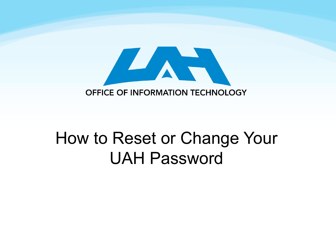

#### How to Reset or Change Your UAH Password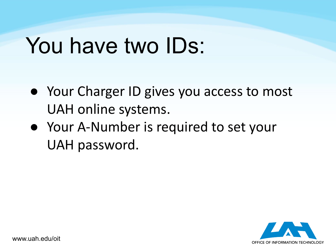#### You have two IDs:

- Your Charger ID gives you access to most UAH online systems.
- Your A-Number is required to set your UAH password.

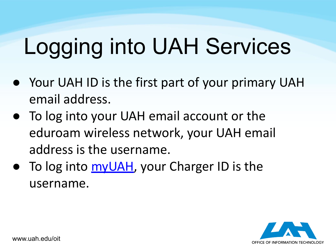# Logging into UAH Services

- Your UAH ID is the first part of your primary UAH email address.
- To log into your UAH email account or the eduroam wireless network, your UAH email address is the username.
- To log into [myUAH](http://my.uah.edu/), your Charger ID is the username.

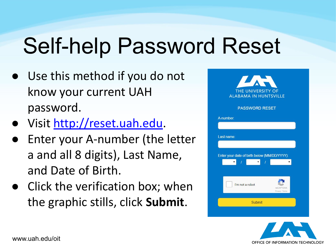# Self-help Password Reset

- Use this method if you do not know your current UAH password.
- Visit [http://reset.uah.edu.](http://reset.uah.edu)
- Enter your A-number (the letter a and all 8 digits), Last Name, and Date of Birth.
- Click the verification box; when the graphic stills, click **Submit**.



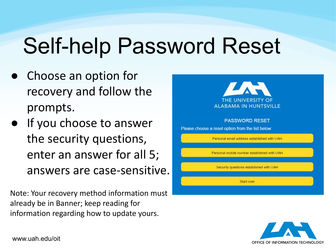# Self-help Password Reset

- Choose an option for recovery and follow the prompts.
- If you choose to answer the security questions, enter an answer for all 5; answers are case-sensitive.

Note: Your recovery method information must already be in Banner; keep reading for information regarding how to update yours.



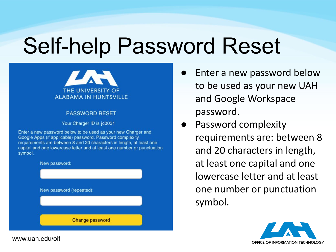### Self-help Password Reset



#### **PASSWORD RESET**

Your Charger ID is jc0031

Enter a new password below to be used as your new Charger and Google Apps (if applicable) password. Password complexity requirements are between 8 and 20 characters in length, at least one capital and one lowercase letter and at least one number or punctuation symbol.



- Enter a new password below to be used as your new UAH and Google Workspace password.
- Password complexity requirements are: between 8 and 20 characters in length, at least one capital and one lowercase letter and at least one number or punctuation symbol.

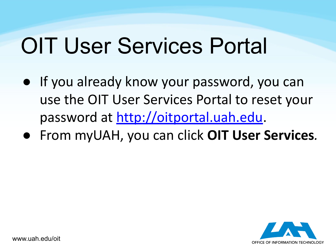- If you already know your password, you can use the OIT User Services Portal to reset your password at [http://oitportal.uah.edu.](http://oitportal.uah.edu)
- From myUAH, you can click **OIT User Services***.*

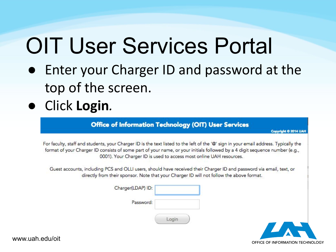- Enter your Charger ID and password at the top of the screen.
- Click **Login***.*

Office of Information Technology (OIT) User Services

**Copyright © 2014 UAH** 

For faculty, staff and students, your Charger ID is the text listed to the left of the '@' sign in your email address. Typically the format of your Charger ID consists of some part of your name, or your initials followed by a 4 digit sequence number (e.g., 0001). Your Charger ID is used to access most online UAH resources.

Guest accounts, including PCS and OLLI users, should have received their Charger ID and password via email, text, or directly from their sponsor. Note that your Charger ID will not follow the above format.

| Charger(LDAP) ID: |   |
|-------------------|---|
| Password:         |   |
|                   | m |

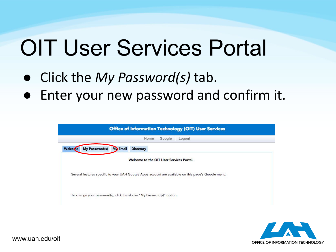- Click the *My Password(s)* tab.
- Enter your new password and confirm it.

| Office of Information Technology (OIT) User Services                                                |  |  |
|-----------------------------------------------------------------------------------------------------|--|--|
| Google<br>Home<br>Logout                                                                            |  |  |
| My Password(s)<br><b>My Email</b><br><b>Welcome</b><br><b>Directory</b>                             |  |  |
| Welcome to the OIT User Services Portal.                                                            |  |  |
| Several features specific to your UAH Google Apps account are available on this page's Google menu. |  |  |
| To change your password(s), click the above "My Password(s)" option.                                |  |  |

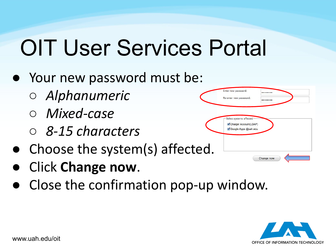- Your new password must be:
	- *○ Alphanumeric*
	- *○ Mixed-case*
	- *○ 8-15 characters*
- Choose the system(s) affected.
- **Click Change now.**
- Close the confirmation pop-up window.



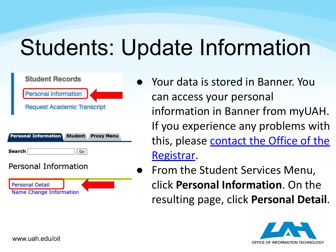# Students: Update Information



- Your data is stored in Banner. You can access your personal information in Banner from myUAH. If you experience any problems with this, please [contact the Office of the](mailto:registrar@uah.edu) [Registrar.](mailto:registrar@uah.edu)
- From the Student Services Menu, click **Personal Information**. On the resulting page, click **Personal Detail**.

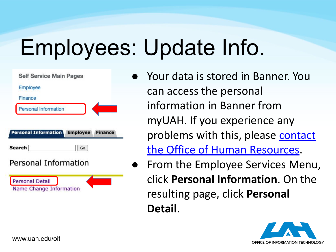# Employees: Update Info.

| <b>Self Service Main Pages</b>       |    |                |
|--------------------------------------|----|----------------|
| Employee                             |    |                |
| Finance                              |    |                |
| <b>Personal Information</b>          |    |                |
|                                      |    |                |
| <b>Personal Information Employee</b> | Go | <b>Finance</b> |
| Search<br>Personal Information       |    |                |

- Your data is stored in Banner. You can access the personal information in Banner from myUAH. If you experience any problems with this, please [contact](mailto:hr@uah.edu) [the Office of Human Resources.](mailto:hr@uah.edu)
- From the Employee Services Menu, click **Personal Information**. On the resulting page, click **Personal Detail**.

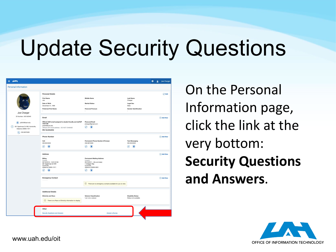### Update Security Questions

| $\mathbf{m}$                                                                                                                                 |                                                                                                                                                                       |                                                                                                                                          |                                                                                         | ₩ | <b>Q</b> Joe Charger |
|----------------------------------------------------------------------------------------------------------------------------------------------|-----------------------------------------------------------------------------------------------------------------------------------------------------------------------|------------------------------------------------------------------------------------------------------------------------------------------|-----------------------------------------------------------------------------------------|---|----------------------|
| <b>Personal Information</b>                                                                                                                  |                                                                                                                                                                       |                                                                                                                                          |                                                                                         |   |                      |
|                                                                                                                                              | <b>Personal Details</b><br><b>First Name</b><br>Joe<br>Date of Birth<br>December 31, 1999<br><b>Preferred First Name</b>                                              | <b>Middle Name</b><br><b>Marital Status</b><br>Personal Pronoun                                                                          | <b>Last Name</b><br>Charger<br><b>Legal Sex</b><br>Male<br><b>Gender Identification</b> |   | D Edit               |
| Joe Charger<br>ID Number: A25162940<br>$\circ$ jc0040@uah.edu<br>301 Sparkman Dr NW, Huntsville,<br>(0)<br>Alabama 35805-1911<br>(2568675309 | Email<br>Official UAH email assigned to student faculty and staff (P<br>referred)<br>jc0040@uah.edu<br>Official UAH email address - DO NOT CHANGE<br>(Not Updateable) | <b>Personal Email</b><br>jcharger@gmail.com<br>$\bigcirc$<br>$\rm \circled{\it}$                                                         |                                                                                         |   | (+) Add New          |
|                                                                                                                                              | <b>Phone Number</b><br>Cell<br>256 8243333<br>$\odot$ $\odot$                                                                                                         | Permanent Phone Number (Primary)<br>256 8675309<br>$\odot$ $\odot$                                                                       | <b>Text Messaging</b><br>256 8243333<br>$\circ$<br>⊘                                    |   | (+) Add New          |
|                                                                                                                                              | Address<br>Billing<br>Current<br>02/10/2016 - 12/31/2100<br>301 Sparkman Dr NW<br>Huntsville<br>Alabama 35805-1911<br>V<br>Œ                                          | <b>Permanent Mailing Address</b><br>Current<br>05/19/2011 - (No end date)<br>1 Charger Way<br>Huntsville<br>Alabama 35899-0001<br>Œ<br>U |                                                                                         |   | + Add New            |
|                                                                                                                                              | <b>Emergency Contact</b>                                                                                                                                              | (i) There are no emergency contacts available for you to view.                                                                           |                                                                                         |   | (+) Add New          |
|                                                                                                                                              | <b>Additional Details</b><br><b>Ethnicity and Race</b><br>(i) There is no Race or Ethnicity information to display                                                    | Veteran Classification<br>I am not a veteran                                                                                             | <b>Disability Status</b><br>Status not available                                        |   |                      |
|                                                                                                                                              | Other<br><b>Security Questions and Answers</b>                                                                                                                        | Answer a Survey                                                                                                                          |                                                                                         |   |                      |

On the Personal Information page, click the link at the very bottom: **Security Questions and Answers**.

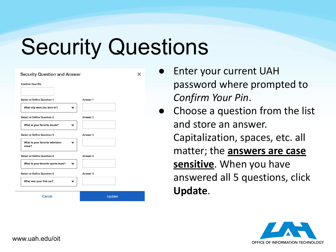### Security Questions

 $\times$ 

| <b>Confirm Your Pin</b>                                   |          |
|-----------------------------------------------------------|----------|
| <b>Select or Define Question 1</b>                        | Answer 1 |
| What city were you born in?                               |          |
| <b>Select or Define Question 2</b>                        | Answer 2 |
| What is your favorite movie?                              |          |
| <b>Select or Define Question 3</b>                        | Answer 3 |
| What is your favorite television<br>$\checkmark$<br>show? |          |
| <b>Select or Define Question 4</b>                        | Answer 4 |
| What is your favorite sports team?                        |          |
| <b>Select or Define Question 5</b>                        | Answer 5 |
| What was your first car?                                  |          |
| Cancel                                                    | Update   |

- **Enter your current UAH** password where prompted to *Confirm Your Pin*.
- Choose a question from the list and store an answer. Capitalization, spaces, etc. all matter; the **answers are case sensitive**. When you have answered all 5 questions, click **Update**.

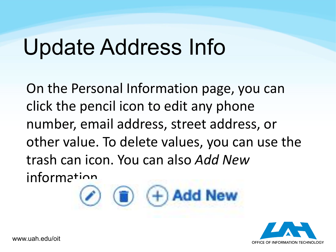#### Update Address Info

 $\Box$ 

On the Personal Information page, you can click the pencil icon to edit any phone number, email address, street address, or other value. To delete values, you can use the trash can icon. You can also *Add New* information

 $(+)$  Add New

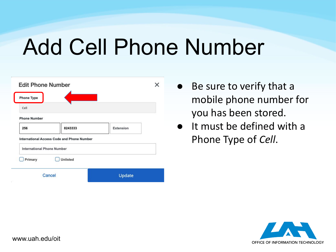#### Add Cell Phone Number

| 8243333         | Extension                                                                                                                    |  |
|-----------------|------------------------------------------------------------------------------------------------------------------------------|--|
|                 |                                                                                                                              |  |
|                 |                                                                                                                              |  |
| <b>Unlisted</b> |                                                                                                                              |  |
|                 | Update                                                                                                                       |  |
|                 | <b>Edit Phone Number</b><br><b>International Access Code and Phone Number</b><br><b>International Phone Number</b><br>Cancel |  |

- Be sure to verify that a mobile phone number for you has been stored.
- It must be defined with a Phone Type of *Cell*.

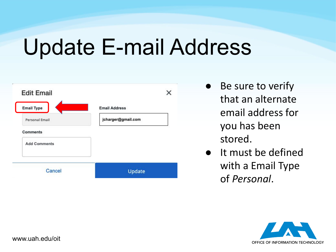#### Update E-mail Address

| <b>Edit Email</b>     |                      |
|-----------------------|----------------------|
| <b>Email Type</b>     | <b>Email Address</b> |
| <b>Personal Email</b> | jcharger@gmail.com   |
| <b>Comments</b>       |                      |
| <b>Add Comments</b>   |                      |
|                       |                      |
|                       | Update               |

- Be sure to verify that an alternate email address for you has been stored.
- It must be defined with a Email Type of *Personal*.